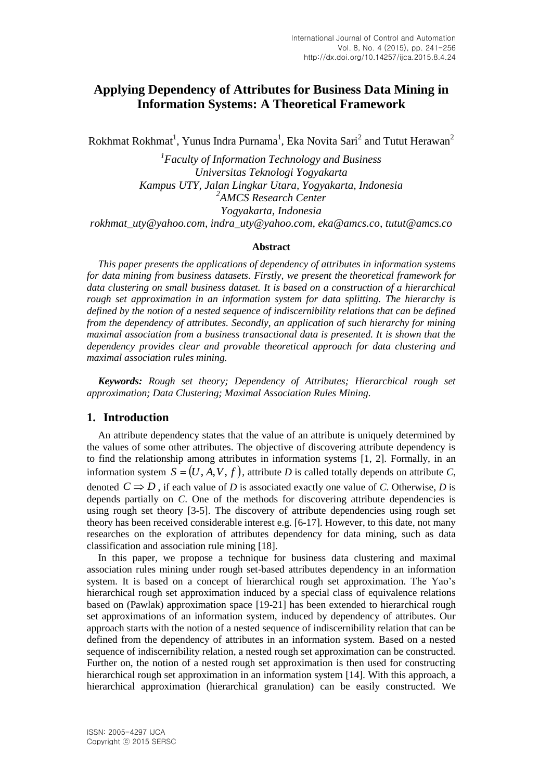# **Applying Dependency of Attributes for Business Data Mining in Information Systems: A Theoretical Framework**

Rokhmat Rokhmat $^{\rm l}$ , Yunus Indra Purnama $^{\rm l}$ , Eka Novita Sari $^{\rm 2}$  and Tutut Herawan $^{\rm 2}$ 

*1 Faculty of Information Technology and Business Universitas Teknologi Yogyakarta Kampus UTY, Jalan Lingkar Utara, Yogyakarta, Indonesia 2 AMCS Research Center Yogyakarta, Indonesia rokhmat\_uty@yahoo.com, indra\_uty@yahoo.com, eka@amcs.co, tutut@amcs.co*

#### **Abstract**

*This paper presents the applications of dependency of attributes in information systems for data mining from business datasets. Firstly, we present the theoretical framework for data clustering on small business dataset. It is based on a construction of a hierarchical rough set approximation in an information system for data splitting. The hierarchy is defined by the notion of a nested sequence of indiscernibility relations that can be defined from the dependency of attributes. Secondly, an application of such hierarchy for mining maximal association from a business transactional data is presented. It is shown that the dependency provides clear and provable theoretical approach for data clustering and maximal association rules mining.*

*Keywords: Rough set theory; Dependency of Attributes; Hierarchical rough set approximation; Data Clustering; Maximal Association Rules Mining.*

# **1. Introduction**

An attribute dependency states that the value of an attribute is uniquely determined by the values of some other attributes. The objective of discovering attribute dependency is to find the relationship among attributes in information systems [\[1,](#page-13-0) [2\]](#page-13-1). Formally, in an information system  $S = (U, A, V, f)$ , attribute *D* is called totally depends on attribute *C*, denoted  $C \Rightarrow D$ , if each value of *D* is associated exactly one value of *C*. Otherwise, *D* is depends partially on *C*. One of the methods for discovering attribute dependencies is using rough set theory [\[3-5\]](#page-13-2). The discovery of attribute dependencies using rough set theory has been received considerable interest e.g. [\[6-17\]](#page-13-3). However, to this date, not many researches on the exploration of attributes dependency for data mining, such as data classification and association rule mining [\[18\]](#page-14-0).

In this paper, we propose a technique for business data clustering and maximal association rules mining under rough set-based attributes dependency in an information system. It is based on a concept of hierarchical rough set approximation. The Yao's hierarchical rough set approximation induced by a special class of equivalence relations based on (Pawlak) approximation space [\[19-21\]](#page-14-1) has been extended to hierarchical rough set approximations of an information system, induced by dependency of attributes. Our approach starts with the notion of a nested sequence of indiscernibility relation that can be defined from the dependency of attributes in an information system. Based on a nested sequence of indiscernibility relation, a nested rough set approximation can be constructed. Further on, the notion of a nested rough set approximation is then used for constructing hierarchical rough set approximation in an information system [\[14\]](#page-13-4). With this approach, a hierarchical approximation (hierarchical granulation) can be easily constructed. We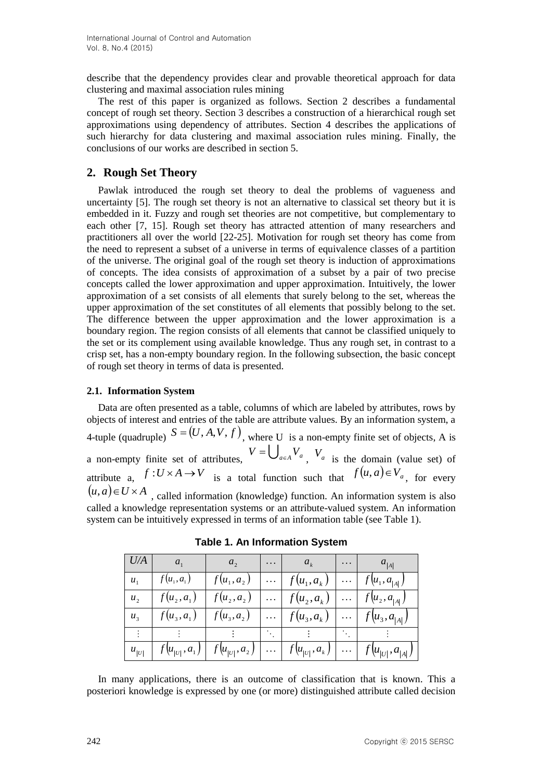describe that the dependency provides clear and provable theoretical approach for data clustering and maximal association rules mining

The rest of this paper is organized as follows. Section 2 describes a fundamental concept of rough set theory. Section 3 describes a construction of a hierarchical rough set approximations using dependency of attributes. Section 4 describes the applications of such hierarchy for data clustering and maximal association rules mining. Finally, the conclusions of our works are described in section 5.

# **2. Rough Set Theory**

Pawlak introduced the rough set theory to deal the problems of vagueness and uncertainty [\[5\]](#page-13-5). The rough set theory is not an alternative to classical set theory but it is embedded in it. Fuzzy and rough set theories are not competitive, but complementary to each other [\[7,](#page-13-6) [15\]](#page-13-7). Rough set theory has attracted attention of many researchers and practitioners all over the world [\[22-25\]](#page-14-2). Motivation for rough set theory has come from the need to represent a subset of a universe in terms of equivalence classes of a partition of the universe. The original goal of the rough set theory is induction of approximations of concepts. The idea consists of approximation of a subset by a pair of two precise concepts called the lower approximation and upper approximation. Intuitively, the lower approximation of a set consists of all elements that surely belong to the set, whereas the upper approximation of the set constitutes of all elements that possibly belong to the set. The difference between the upper approximation and the lower approximation is a boundary region. The region consists of all elements that cannot be classified uniquely to the set or its complement using available knowledge. Thus any rough set, in contrast to a crisp set, has a non-empty boundary region. In the following subsection, the basic concept of rough set theory in terms of data is presented.

### **2.1. Information System**

Data are often presented as a table, columns of which are labeled by attributes, rows by objects of interest and entries of the table are attribute values. By an information system, a 4-tuple (quadruple)  $S = (U, A, V, f)$ , where U is a non-empty finite set of objects, A is a non-empty finite set of attributes,  $V = \bigcup_{a \in A} V_a$ ,  $V_a$  is the domain (value set) of attribute a,  $f: U \times A \rightarrow V$  is a total function such that  $f(u, a) \in V_a$ , for every  $(u, a) \in U \times A$ , called information (knowledge) function. An information system is also called a knowledge representation systems or an attribute-valued system. An information system can be intuitively expressed in terms of an information table (see Table 1).

| U/A          | $a_1$         | a <sub>2</sub> | $\ldots$ | $a_k$                                                     | $\cdots$ | $a_{\vert A \vert}$                                                                                                            |
|--------------|---------------|----------------|----------|-----------------------------------------------------------|----------|--------------------------------------------------------------------------------------------------------------------------------|
| $u_{1}$      | $f(u_1, a_1)$ | $f(u_1, a_2)$  |          | $\ldots   f(u_1, a_k)   \ldots   f(u_1, a_{ A })$         |          |                                                                                                                                |
| $u_{\gamma}$ | $f(u_2, a_1)$ | $f(u_2, a_2)$  |          | $\ldots \mid f(u_2, a_k)$                                 |          | $\mid f(u_2, a_{ A })$                                                                                                         |
| $u_{\alpha}$ | $f(u_3, a_1)$ | $f(u_3, a_2)$  |          | $\overline{\cdots  f(u_3,a_k)   \cdots   f(u_3,a_{ A })}$ |          |                                                                                                                                |
|              |               |                |          | <b>Contract Contract Contract</b>                         |          |                                                                                                                                |
| $u_{ U }$    |               |                |          |                                                           |          | $\left  f(u_{ U }, a_1) \right  f(u_{ U }, a_2) \left  \dots \right  f(u_{ U }, a_k) \left  \dots \right  f(u_{ U }, a_{ A })$ |

**Table 1. An Information System**

In many applications, there is an outcome of classification that is known. This a posteriori knowledge is expressed by one (or more) distinguished attribute called decision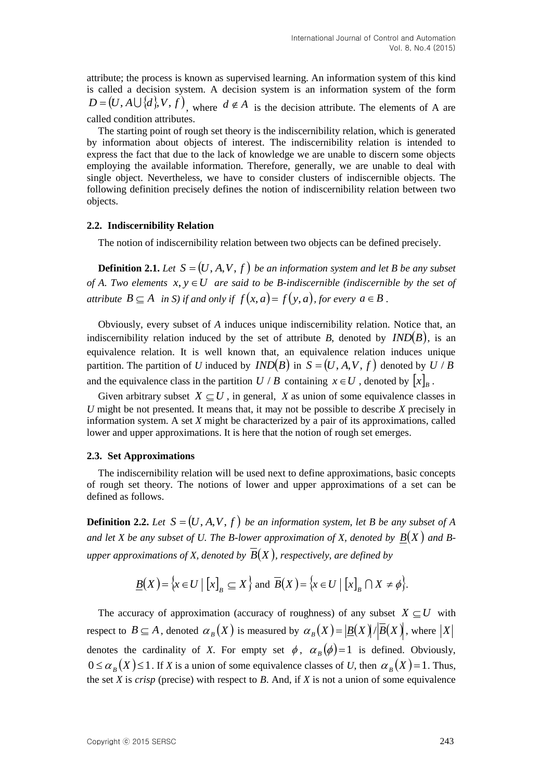attribute; the process is known as supervised learning. An information system of this kind is called a decision system. A decision system is an information system of the form  $D = (U, A \cup \{d\}, V, f)$ , where  $d \notin A$  is the decision attribute. The elements of A are called condition attributes.

The starting point of rough set theory is the indiscernibility relation, which is generated by information about objects of interest. The indiscernibility relation is intended to express the fact that due to the lack of knowledge we are unable to discern some objects employing the available information. Therefore, generally, we are unable to deal with single object. Nevertheless, we have to consider clusters of indiscernible objects. The following definition precisely defines the notion of indiscernibility relation between two objects.

#### **2.2. Indiscernibility Relation**

The notion of indiscernibility relation between two objects can be defined precisely.

**Definition 2.1.** Let  $S = (U, A, V, f)$  be an information system and let B be any subset *of A. Two elements*  $x, y \in U$  are said to be B-indiscernible (indiscernible by the set of *attribute*  $B \subseteq A$  *in S) if and only if*  $f(x, a) = f(y, a)$ *, for every*  $a \in B$ .

Obviously, every subset of *A* induces unique indiscernibility relation. Notice that, an indiscernibility relation induced by the set of attribute *B*, denoted by  $IND(B)$ , is an equivalence relation. It is well known that, an equivalence relation induces unique partition. The partition of *U* induced by  $IND(B)$  in  $S = (U, A, V, f)$  denoted by  $U \mid B$ and the equivalence class in the partition  $U/B$  containing  $x \in U$ , denoted by  $[x]_B$ .

Given arbitrary subset  $X \subseteq U$ , in general, X as union of some equivalence classes in *U* might be not presented. It means that, it may not be possible to describe *X* precisely in information system. A set *X* might be characterized by a pair of its approximations, called lower and upper approximations. It is here that the notion of rough set emerges.

#### **2.3. Set Approximations**

The indiscernibility relation will be used next to define approximations, basic concepts of rough set theory. The notions of lower and upper approximations of a set can be defined as follows.

**Definition 2.2.** Let  $S = (U, A, V, f)$  be an information system, let B be any subset of A and let X be any subset of U. The B-lower approximation of X, denoted by  $B(X)$  and Bupper approximations of X, denoted by  $B(X)$ , respectively, are defined by

$$
\underline{B}(X) = \{x \in U \mid [x]_B \subseteq X\} \text{ and } \overline{B}(X) = \{x \in U \mid [x]_B \cap X \neq \emptyset\}.
$$

The accuracy of approximation (accuracy of roughness) of any subset  $X \subseteq U$  with respect to  $B \subseteq A$  , denoted  $\alpha_{B}(X)$  is measured by  $\alpha_{B}(X) = |B(X)|/|B(X)|$ , where  $|X|$ denotes the cardinality of *X*. For empty set  $\phi$ ,  $\alpha_B(\phi) = 1$  is defined. Obviously,  $0 \le \alpha_{B}(X) \le 1$ . If *X* is a union of some equivalence classes of *U*, then  $\alpha_{B}(X) = 1$ . Thus, the set *X* is *crisp* (precise) with respect to *B*. And, if *X* is not a union of some equivalence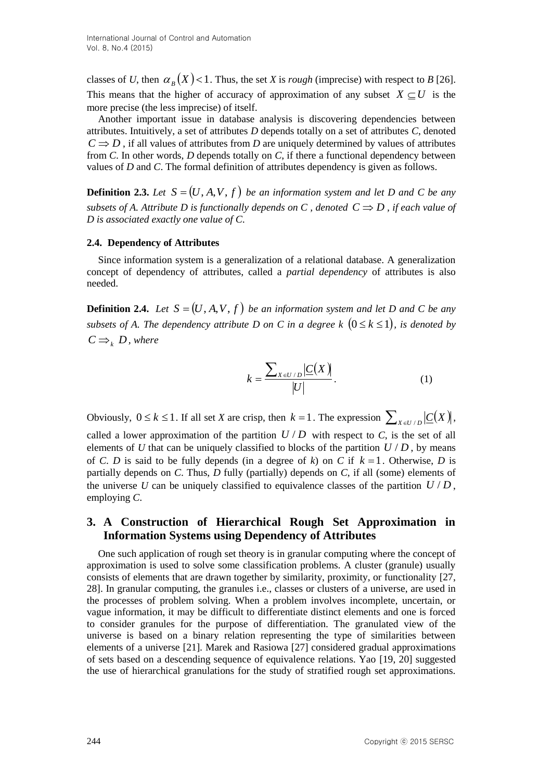classes of *U*, then  $\alpha_B(X)$  < 1. Thus, the set *X* is *rough* (imprecise) with respect to *B* [\[26\]](#page-14-3). This means that the higher of accuracy of approximation of any subset  $X \subseteq U$  is the more precise (the less imprecise) of itself.

Another important issue in database analysis is discovering dependencies between attributes. Intuitively, a set of attributes *D* depends totally on a set of attributes *C*, denoted  $C \Rightarrow D$ , if all values of attributes from *D* are uniquely determined by values of attributes from *C*. In other words, *D* depends totally on *C*, if there a functional dependency between values of *D* and *C*. The formal definition of attributes dependency is given as follows.

**Definition 2.3.** Let  $S = (U, A, V, f)$  be an information system and let D and C be any *subsets of A. Attribute D is functionally depends on C, denoted*  $C \Rightarrow D$ *, if each value of D is associated exactly one value of C*.

#### **2.4. Dependency of Attributes**

Since information system is a generalization of a relational database. A generalization concept of dependency of attributes, called a *partial dependency* of attributes is also needed.

**Definition 2.4.** Let  $S = (U, A, V, f)$  be an information system and let D and C be any *subsets of A. The dependency attribute D on C in a degree k*  $(0 \le k \le 1)$ , is denoted by  $C \rightrightarrows_k D$ , where

$$
k = \frac{\sum_{X \in U/D} |C(X)|}{|U|}.
$$
 (1)

Obviously,  $0 \le k \le 1$ . If all set *X* are crisp, then  $k = 1$ . The expression  $\sum_{X \in U / D} |C(X)|$ , called a lower approximation of the partition  $U/D$  with respect to  $C$ , is the set of all elements of  $U$  that can be uniquely classified to blocks of the partition  $U/D$ , by means of *C*. *D* is said to be fully depends (in a degree of *k*) on *C* if  $k = 1$ . Otherwise, *D* is partially depends on *C*. Thus, *D* fully (partially) depends on *C*, if all (some) elements of the universe U can be uniquely classified to equivalence classes of the partition  $U/D$ , employing *C*.

# **3. A Construction of Hierarchical Rough Set Approximation in Information Systems using Dependency of Attributes**

One such application of rough set theory is in granular computing where the concept of approximation is used to solve some classification problems. A cluster (granule) usually consists of elements that are drawn together by similarity, proximity, or functionality [\[27,](#page-14-4) [28\]](#page-14-5). In granular computing, the granules i.e., classes or clusters of a universe, are used in the processes of problem solving. When a problem involves incomplete, uncertain, or vague information, it may be difficult to differentiate distinct elements and one is forced to consider granules for the purpose of differentiation. The granulated view of the universe is based on a binary relation representing the type of similarities between elements of a universe [\[21\]](#page-14-6). Marek and Rasiowa [\[27\]](#page-14-4) considered gradual approximations of sets based on a descending sequence of equivalence relations. Yao [\[19,](#page-14-1) [20\]](#page-14-7) suggested the use of hierarchical granulations for the study of stratified rough set approximations.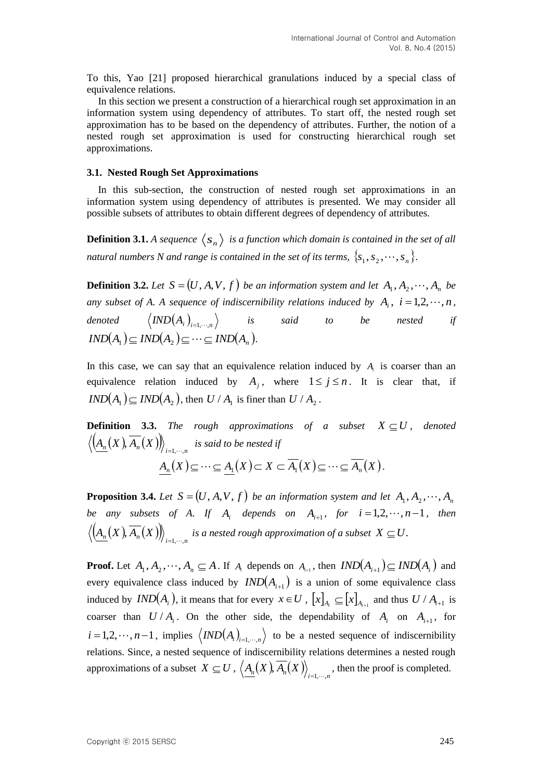To this, Yao [\[21\]](#page-14-6) proposed hierarchical granulations induced by a special class of equivalence relations.

In this section we present a construction of a hierarchical rough set approximation in an information system using dependency of attributes. To start off, the nested rough set approximation has to be based on the dependency of attributes. Further, the notion of a nested rough set approximation is used for constructing hierarchical rough set approximations.

#### **3.1. Nested Rough Set Approximations**

In this sub-section, the construction of nested rough set approximations in an information system using dependency of attributes is presented. We may consider all possible subsets of attributes to obtain different degrees of dependency of attributes.

**Definition 3.1.** A sequence  $\langle s_n \rangle$  is a function which domain is contained in the set of all *natural numbers N and range is contained in the set of its terms,*  $\{s_1, s_2, \cdots, s_n\}$ .

**Definition 3.2.** Let  $S = (U, A, V, f)$  be an information system and let  $A_1, A_2, \dots, A_n$  be any subset of A. A sequence of indiscernibility relations induced by  $A_i$ ,  $i = 1, 2, \dots, n$ , *denoted*   $\emph{IND}(A_i)_{i=1,\cdots,n} \Big\rangle$  is said to be nested if  $IND(A_1) \subseteq IND(A_2) \subseteq \cdots \subseteq IND(A_n)$ .

In this case, we can say that an equivalence relation induced by  $A_i$  is coarser than an equivalence relation induced by  $A_j$ , where  $1 \le j \le n$ . It is clear that, if  $IND(A_1) \subseteq IND(A_2)$ , then  $U/A_1$  is finer than  $U/A_2$ .

**Definition 3.3.** The rough approximations of a subset  $X \subseteq U$ , denoted  $\left\langle \underline{A_n}(X),A_n(X)\right\rangle \! \right\rangle_{i=1,\cdots,n}$  is said to be nested if  $A_n(X) \subseteq \cdots \subseteq A_1(X) \subset X \subset A_1(X) \subseteq \cdots \subseteq A_n(X).$ 

**Proposition 3.4.** Let  $S = (U, A, V, f)$  be an information system and let  $A_1, A_2, \dots, A_n$ *be any subsets of A. If*  $A_i$  *depends on*  $A_{i+1}$ *, for*  $i = 1, 2, \dots, n-1$ *, then*  $\left\langle A_n(X),A_n(X)\right\rangle\!\right\rangle_{i=1,\cdots,n}$  is a nested rough approximation of a subset  $X\subseteq U.$ 

**Proof.** Let  $A_1, A_2, \dots, A_n \subseteq A$ . If  $A_i$  depends on  $A_{i+1}$ , then  $IND(A_{i+1}) \subseteq IND(A_i)$  and every equivalence class induced by  $IND(A_{i+1})$  is a union of some equivalence class induced by  $IND(A_i)$ , it means that for every  $x \in U$ ,  $[x]_{A_i} \subseteq [x]_{A_{i+1}}$  and thus  $U / A_{i+1}$  is coarser than  $U/A_i$ . On the other side, the dependability of  $A_i$  on  $A_{i+1}$ , for  $i = 1, 2, \dots, n-1$ , implies  $\langle IND(A_i)_{i=1,\dots,n} \rangle$  to be a nested sequence of indiscernibility relations. Since, a nested sequence of indiscernibility relations determines a nested rough approximations of a subset  $X \subseteq U$ ,  $\langle A_n(X), A_n(X) \rangle_{i=1,\dots,n}$ , then the proof is completed.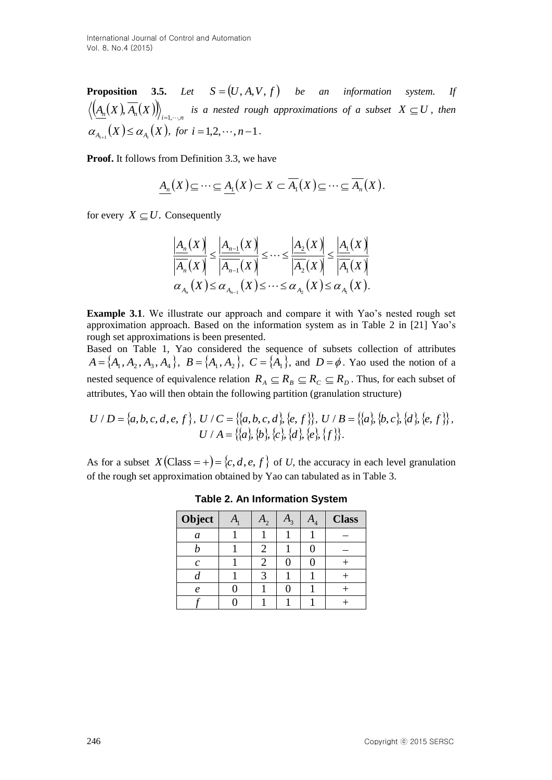**Proposition 3.5.** Let  $S = (U, A, V, f)$  be an information system. If  $\left(\frac{A_n(X),A_n(X)}{\right)}_{i=1,\cdots,n}$  is a nested rough approximations of a subset  $X\subseteq U$ , then  $\alpha_{A_{i+1}}(X) \leq \alpha_{A_i}(X)$ , for  $i = 1, 2, \dots, n-1$ .

**Proof.** It follows from Definition 3.3, we have

$$
\underline{A_n}(X) \subseteq \cdots \subseteq \underline{A_1}(X) \subset X \subset \overline{A_1}(X) \subseteq \cdots \subseteq \overline{A_n}(X).
$$

for every  $X \subseteq U$ . Consequently

$$
\frac{\left|\underline{A}_{n}(X)\right|}{\left|\overline{A}_{n}(X)\right|} \leq \frac{\left|\underline{A}_{n-1}(X)\right|}{\left|\overline{A}_{n-1}(X)\right|} \leq \dots \leq \frac{\left|\underline{A}_{2}(X)\right|}{\left|\overline{A_{2}}(X)\right|} \leq \frac{\left|\underline{A}_{1}(X)\right|}{\left|\overline{A_{1}}(X)\right|}
$$

$$
\alpha_{A_{n}}(X) \leq \alpha_{A_{n-1}}(X) \leq \dots \leq \alpha_{A_{2}}(X) \leq \alpha_{A_{1}}(X).
$$

**Example 3.1**. We illustrate our approach and compare it with Yao's nested rough set approximation approach. Based on the information system as in Table 2 in [\[21\]](#page-14-6) Yao's rough set approximations is been presented.

Based on Table 1, Yao considered the sequence of subsets collection of attributes  $A = \{A_1, A_2, A_3, A_4\}, B = \{A_1, A_2\}, C = \{A_1\}, \text{ and } D = \emptyset$ . Yao used the notion of a nested sequence of equivalence relation  $R_A \subseteq R_B \subseteq R_C \subseteq R_D$ . Thus, for each subset of attributes, Yao will then obtain the following partition (granulation structure)

$$
U/D = \{a,b,c,d,e,f\}, U/C = \{\{a,b,c,d\}, \{e,f\}\}, U/B = \{\{a\}, \{b,c\}, \{d\}, \{e,f\}\},
$$

$$
U/A = \{\{a\}, \{b\}, \{c\}, \{d\}, \{e\}, \{f\}\}.
$$

As for a subset  $X(\text{Class} = +) = \{c, d, e, f\}$  of *U*, the accuracy in each level granulation of the rough set approximation obtained by Yao can tabulated as in Table 3.

| Object           | $\mathbf{A}_{\mathbf{1}}$ | $\mathfrak{c}_1$ | $\mathbf{a}_4$ | <b>Class</b> |
|------------------|---------------------------|------------------|----------------|--------------|
| a                |                           |                  |                |              |
|                  |                           |                  |                |              |
| $\mathcal{C}$    |                           |                  |                |              |
|                  |                           |                  |                |              |
| $\boldsymbol{e}$ |                           |                  |                |              |
|                  |                           |                  |                |              |

**Table 2. An Information System**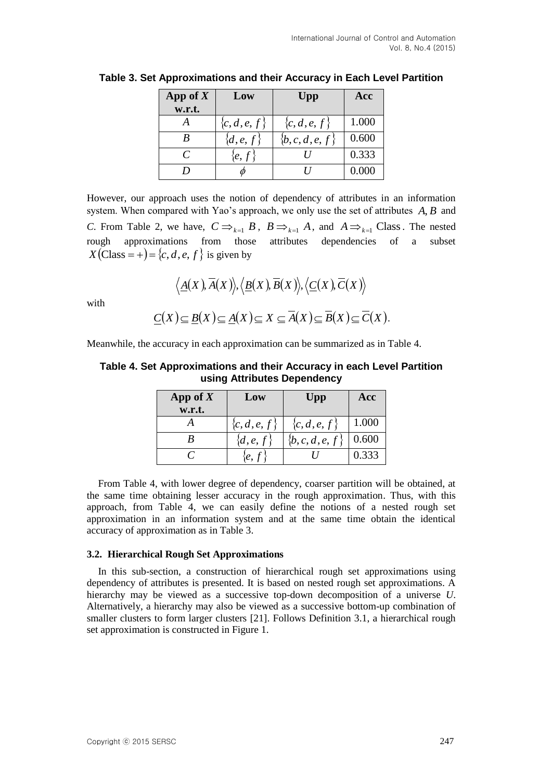| App of $X$<br>w.r.t. | Low                    | Upp             | Acc   |
|----------------------|------------------------|-----------------|-------|
|                      | ${c,d,e,f}$            | ${c,d,e,f}$     | 1.000 |
|                      | $\{d,e,f\}$            | $\{b,c,d,e,f\}$ | 0.600 |
|                      | $\langle e, f \rangle$ |                 | 0.333 |
|                      |                        |                 | 0.000 |

**Table 3. Set Approximations and their Accuracy in Each Level Partition**

However, our approach uses the notion of dependency of attributes in an information system. When compared with Yao's approach, we only use the set of attributes *A*, *B* and *C*. From Table 2, we have,  $C \implies_{k=1} B$ ,  $B \implies_{k=1} A$ , and  $A \implies_{k=1} C \text{lass. The nested}$ rough approximations from those attributes dependencies of a subset  $X(\text{Class} = +) = \{c, d, e, f\}$  is given by

$$
\langle \underline{A}(X), \overline{A}(X) \rangle, \langle \underline{B}(X), \overline{B}(X) \rangle, \langle \underline{C}(X), \overline{C}(X) \rangle
$$
  

$$
\underline{C}(X) \subseteq \underline{B}(X) \subseteq \underline{A}(X) \subseteq X \subseteq \overline{A}(X) \subseteq \overline{B}(X) \subseteq \overline{C}(X).
$$

with

Meanwhile, the accuracy in each approximation can be summarized as in Table 4.

#### **Table 4. Set Approximations and their Accuracy in each Level Partition using Attributes Dependency**

| App of $X$ | Low           | Upp             | Acc   |
|------------|---------------|-----------------|-------|
| w.r.t.     |               |                 |       |
|            | $\{c,d,e,f\}$ | $\{c,d,e,f\}$   | 1.000 |
|            | $\{d,e,f\}$   | $\{b,c,d,e,f\}$ | 0.600 |
|            | e, f          |                 | 0.333 |

From Table 4, with lower degree of dependency, coarser partition will be obtained, at the same time obtaining lesser accuracy in the rough approximation. Thus, with this approach, from Table 4, we can easily define the notions of a nested rough set approximation in an information system and at the same time obtain the identical accuracy of approximation as in Table 3.

#### **3.2. Hierarchical Rough Set Approximations**

In this sub-section, a construction of hierarchical rough set approximations using dependency of attributes is presented. It is based on nested rough set approximations. A hierarchy may be viewed as a successive top-down decomposition of a universe *U*. Alternatively, a hierarchy may also be viewed as a successive bottom-up combination of smaller clusters to form larger clusters [\[21\]](#page-14-6). Follows Definition 3.1, a hierarchical rough set approximation is constructed in Figure 1.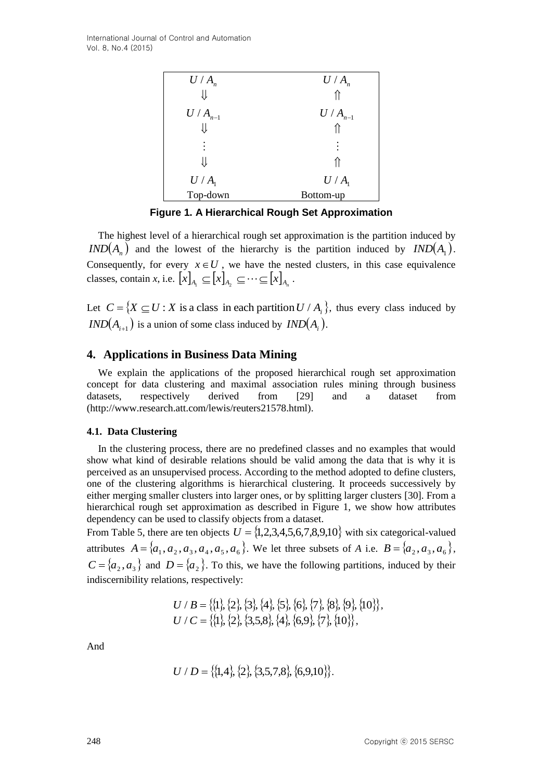| $U/A_n$     | $U/A_n$     |
|-------------|-------------|
| ⇓           |             |
| $U/A_{n-1}$ | $U/A_{n-1}$ |
|             |             |
| $\vdots$    | $\vdots$    |
|             |             |
| $U/A_1$     | $U/A_1$     |
| Top-down    | Bottom-up   |

**Figure 1. A Hierarchical Rough Set Approximation**

The highest level of a hierarchical rough set approximation is the partition induced by  $IND(A_n)$  and the lowest of the hierarchy is the partition induced by  $IND(A_1)$ . Consequently, for every  $x \in U$ , we have the nested clusters, in this case equivalence classes, contain *x*, i.e.  $\left[ x \right]_{A_1} \subseteq \left[ x \right]_{A_2} \subseteq \cdots \subseteq \left[ x \right]_{A_n}$ .

Let  $C = \{ X \subseteq U : X \text{ is a class in each partition } U / A_i \}$ , thus every class induced by  $IND(A_{i+1})$  is a union of some class induced by  $IND(A_i)$ .

# **4. Applications in Business Data Mining**

We explain the applications of the proposed hierarchical rough set approximation concept for data clustering and maximal association rules mining through business datasets, respectively derived from [\[29\]](#page-14-8) and a dataset from (http://www.research.att.com/lewis/reuters21578.html).

#### **4.1. Data Clustering**

In the clustering process, there are no predefined classes and no examples that would show what kind of desirable relations should be valid among the data that is why it is perceived as an unsupervised process. According to the method adopted to define clusters, one of the clustering algorithms is hierarchical clustering. It proceeds successively by either merging smaller clusters into larger ones, or by splitting larger clusters [\[30\]](#page-14-9). From a hierarchical rough set approximation as described in Figure 1, we show how attributes dependency can be used to classify objects from a dataset.

From Table 5, there are ten objects  $U = \{1, 2, 3, 4, 5, 6, 7, 8, 9, 10\}$  with six categorical-valued attributes  $A = \{a_1, a_2, a_3, a_4, a_5, a_6\}$ . We let three subsets of *A* i.e.  $B = \{a_2, a_3, a_6\}$ ,  $C = \{a_2, a_3\}$  and  $D = \{a_2\}$ . To this, we have the following partitions, induced by their indiscernibility relations, respectively:

$$
U / B = \{ \{1\}, \{2\}, \{3\}, \{4\}, \{5\}, \{6\}, \{7\}, \{8\}, \{9\}, \{10\} \},
$$
  

$$
U / C = \{ \{1\}, \{2\}, \{3,5,8\}, \{4\}, \{6,9\}, \{7\}, \{10\} \},
$$

And

$$
U/D = \{\{1,4\},\{2\},\{3,5,7,8\},\{6,9,10\}\}.
$$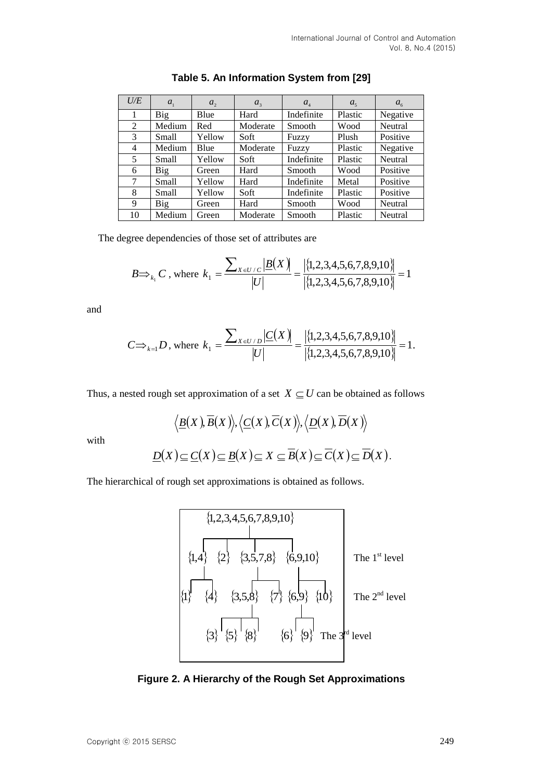| U/E | $a_{1}$ | $a_{2}$ | $a_{3}$  | $a_{\scriptscriptstyle{A}}$ | $a_{\varsigma}$ | $a_{\epsilon}$ |
|-----|---------|---------|----------|-----------------------------|-----------------|----------------|
|     | Big     | Blue    | Hard     | Indefinite                  | Plastic         | Negative       |
| 2   | Medium  | Red     | Moderate | Smooth                      | Wood            | Neutral        |
| 3   | Small   | Yellow  | Soft     | Fuzzy                       | Plush           | Positive       |
| 4   | Medium  | Blue    | Moderate | Fuzzy                       | Plastic         | Negative       |
| 5   | Small   | Yellow  | Soft     | Indefinite                  | Plastic         | Neutral        |
| 6   | Big     | Green   | Hard     | Smooth                      | Wood            | Positive       |
| 7   | Small   | Yellow  | Hard     | Indefinite                  | Metal           | Positive       |
| 8   | Small   | Yellow  | Soft     | Indefinite                  | Plastic         | Positive       |
| 9   | Big     | Green   | Hard     | <b>Smooth</b>               | Wood            | Neutral        |
| 10  | Medium  | Green   | Moderate | Smooth                      | Plastic         | Neutral        |

| Table 5. An Information System from [29] |  |  |  |
|------------------------------------------|--|--|--|
|------------------------------------------|--|--|--|

The degree dependencies of those set of attributes are

$$
B \implies_{k_1} C \text{, where } k_1 = \frac{\sum_{X \in U / C} |B(X)|}{|U|} = \frac{|\{1, 2, 3, 4, 5, 6, 7, 8, 9, 10\}|}{|\{1, 2, 3, 4, 5, 6, 7, 8, 9, 10\}|} = 1
$$

and

$$
C \implies_{k=1} D \text{, where } k_1 = \frac{\sum_{X \in U/D} |C(X)|}{|U|} = \frac{|\{1, 2, 3, 4, 5, 6, 7, 8, 9, 10\}|}{|\{1, 2, 3, 4, 5, 6, 7, 8, 9, 10\}|} = 1.
$$

Thus, a nested rough set approximation of a set  $X \subseteq U$  can be obtained as follows

$$
\langle \underline{B}(X), \overline{B}(X) \rangle, \langle \underline{C}(X), \overline{C}(X) \rangle, \langle \underline{D}(X), \overline{D}(X) \rangle
$$
  

$$
D(X) \subset C(X) \subset B(X) \subset X \subset \overline{B}(X) \subset \overline{C}(X) \subset \overline{D}(X)
$$

with

$$
\underline{D}(X) \subseteq \underline{C}(X) \subseteq \underline{B}(X) \subseteq X \subseteq \overline{B}(X) \subseteq \overline{C}(X) \subseteq \overline{D}(X).
$$

The hierarchical of rough set approximations is obtained as follows.



**Figure 2. A Hierarchy of the Rough Set Approximations**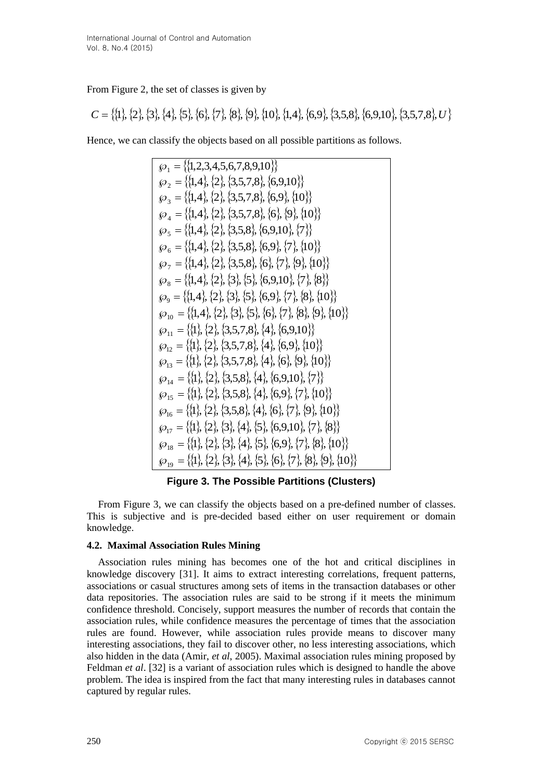### From Figure 2, the set of classes is given by

$$
C = \{\{1\}, \{2\}, \{3\}, \{4\}, \{5\}, \{6\}, \{7\}, \{8\}, \{9\}, \{10\}, \{1,4\}, \{6,9\}, \{3,5,8\}, \{6,9,10\}, \{3,5,7,8\}, U\}
$$

Hence, we can classify the objects based on all possible partitions as follows.

$$
\wp_{1} = \{\{1,2,3,4,5,6,7,8,9,10\}\}\
$$
  
\n
$$
\wp_{2} = \{\{1,4\},\{2\},\{3,5,7,8\},\{6,9,10\}\}\
$$
  
\n
$$
\wp_{3} = \{\{1,4\},\{2\},\{3,5,7,8\},\{6,9\},\{10\}\}\
$$
  
\n
$$
\wp_{4} = \{\{1,4\},\{2\},\{3,5,7,8\},\{6\},\{9\},\{10\}\}\
$$
  
\n
$$
\wp_{5} = \{\{1,4\},\{2\},\{3,5,8\},\{6,9,10\},\{7\}\}\
$$
  
\n
$$
\wp_{6} = \{\{1,4\},\{2\},\{3,5,8\},\{6,9\},\{7\},\{10\}\}\
$$
  
\n
$$
\wp_{7} = \{\{1,4\},\{2\},\{3,5,8\},\{6\},\{7\},\{9\},\{10\}\}\
$$
  
\n
$$
\wp_{8} = \{\{1,4\},\{2\},\{3\},\{5\},\{6,9,10\},\{7\},\{8\}\}\
$$
  
\n
$$
\wp_{9} = \{\{1,4\},\{2\},\{3\},\{5\},\{6,9\},\{7\},\{8\},\{10\}\}\
$$
  
\n
$$
\wp_{10} = \{\{1,4\},\{2\},\{3\},\{5\},\{6\},\{7\},\{8\},\{9\},\{10\}\}\
$$
  
\n
$$
\wp_{11} = \{\{1\},\{2\},\{3,5,7,8\},\{4\},\{6,9,10\}\}\
$$
  
\n
$$
\wp_{12} = \{\{1\},\{2\},\{3,5,7,8\},\{4\},\{6,9\},\{10\}\}\
$$
  
\n
$$
\wp_{13} = \{\{1\},\{2\},\{3,5,7,8\},\{4\},\{6,9\},\{10\}\}\
$$
  
\n
$$
\wp_{14} = \{\{1
$$

**Figure 3. The Possible Partitions (Clusters)**

From Figure 3, we can classify the objects based on a pre-defined number of classes. This is subjective and is pre-decided based either on user requirement or domain knowledge.

# **4.2. Maximal Association Rules Mining**

Association rules mining has becomes one of the hot and critical disciplines in knowledge discovery [\[31\]](#page-14-10). It aims to extract interesting correlations, frequent patterns, associations or casual structures among sets of items in the transaction databases or other data repositories. The association rules are said to be strong if it meets the minimum confidence threshold. Concisely, support measures the number of records that contain the association rules, while confidence measures the percentage of times that the association rules are found. However, while association rules provide means to discover many interesting associations, they fail to discover other, no less interesting associations, which also hidden in the data (Amir, *et al*, 2005). Maximal association rules mining proposed by Feldman *et al*. [\[32\]](#page-14-11) is a variant of association rules which is designed to handle the above problem. The idea is inspired from the fact that many interesting rules in databases cannot captured by regular rules.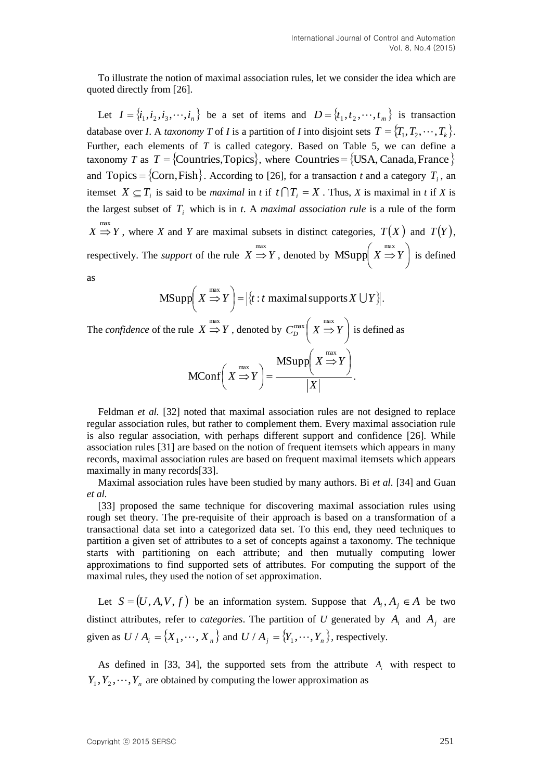To illustrate the notion of maximal association rules, let we consider the idea which are quoted directly from [\[26\]](#page-14-3).

Let  $I = \{i_1, i_2, i_3, \dots, i_n\}$  be a set of items and  $D = \{t_1, t_2, \dots, t_m\}$  is transaction database over *I*. A *taxonomy T* of *I* is a partition of *I* into disjoint sets  $T = \{T_1, T_2, \dots, T_k\}$ . Further, each elements of *T* is called category. Based on Table 5, we can define a taxonomy *T* as  $T = \{Countries, Topics\}$ , where Countries =  $\{USA, Canada, France\}$ and Topics =  $\{Corn, Fish\}$ . According to [\[26\]](#page-14-3), for a transaction *t* and a category  $T_i$ , an itemset  $X \subseteq T_i$  is said to be *maximal* in *t* if  $t \cap T_i = X$ . Thus, *X* is maximal in *t* if *X* is the largest subset of  $T_i$  which is in *t*. A *maximal association rule* is a rule of the form  $X \stackrel{\text{max}}{\Rightarrow} Y$ , where *X* and *Y* are maximal subsets in distinct categories,  $T(X)$  and  $T(Y)$ , respectively. The *support* of the rule  $X \stackrel{\text{max}}{\Rightarrow} Y$ , denoted by  $\text{MSupp} \left( X \stackrel{\text{max}}{\Rightarrow} Y \right)$  $\bigg)$  $\left( X \stackrel{\text{max}}{\Rightarrow} Y \right)$  $\overline{\mathcal{L}}$  $MSupp\left(X \stackrel{max}{\Rightarrow} Y\right)$  is defined as

MSupp
$$
\left(X \stackrel{\text{max}}{\Rightarrow} Y\right) = |\{t : t \text{ maximal supports } X \cup Y\}|\right).
$$

The *confidence* of the rule  $X \stackrel{\text{max}}{\Rightarrow} Y$  , denoted by  $C_D^{\text{max}}\left(X \stackrel{\text{max}}{\Rightarrow} Y\right)$  $\bigg)$  $\left(X \stackrel{\text{max}}{\Rightarrow} Y\right)$  $\setminus$  $C_D^{\max}$   $(X \stackrel{\text{max}}{\Rightarrow} Y)$  is defined as *X*  $X \Rightarrow Y$  $X \Rightarrow Y$  $\overline{\phantom{a}}$  $\bigg)$  $\left(X \stackrel{\text{max}}{\Rightarrow} Y\right)$  $\setminus$  $X \overset{max}{\Rightarrow}$  $\vert$  = J  $\left(X \stackrel{\text{max}}{\Rightarrow} Y\right)$  $\setminus$  $X \overset{max}{\Rightarrow}$  $\text{MSupp}\left(X\stackrel{\text{max}}{\Rightarrow}\right)$ MConf $|X \Rightarrow Y| = \frac{1}{|X|}$ .

Feldman *et al.* [\[32\]](#page-14-11) noted that maximal association rules are not designed to replace regular association rules, but rather to complement them. Every maximal association rule is also regular association, with perhaps different support and confidence [\[26\]](#page-14-3). While association rules [\[31\]](#page-14-10) are based on the notion of frequent itemsets which appears in many records, maximal association rules are based on frequent maximal itemsets which appears maximally in many records[\[33\]](#page-14-12).

Maximal association rules have been studied by many authors. Bi *et al.* [\[34\]](#page-14-13) and Guan *et al.*

[\[33\]](#page-14-12) proposed the same technique for discovering maximal association rules using rough set theory. The pre-requisite of their approach is based on a transformation of a transactional data set into a categorized data set. To this end, they need techniques to partition a given set of attributes to a set of concepts against a taxonomy. The technique starts with partitioning on each attribute; and then mutually computing lower approximations to find supported sets of attributes. For computing the support of the maximal rules, they used the notion of set approximation.

Let  $S = (U, A, V, f)$  be an information system. Suppose that  $A_i, A_j \in A$  be two distinct attributes, refer to *categories*. The partition of U generated by  $A_i$  and  $A_j$  are given as  $U / A_i = \{X_1, \dots, X_n\}$  and  $U / A_j = \{Y_1, \dots, Y_n\}$ , respectively.

As defined in [\[33,](#page-14-12) [34\]](#page-14-13), the supported sets from the attribute  $A_i$  with respect to  $Y_1, Y_2, \dots, Y_n$  are obtained by computing the lower approximation as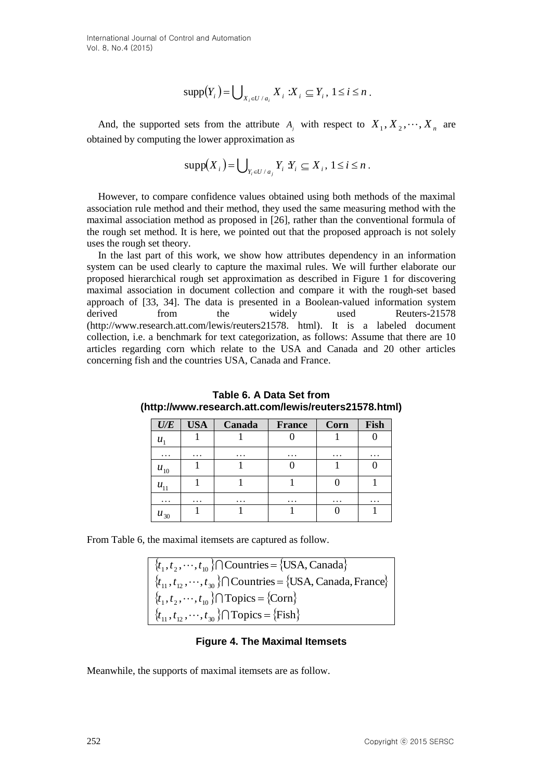International Journal of Control and Automation Vol. 8, No.4 (2015)

$$
\mathrm{supp}(Y_i) = \bigcup\nolimits_{X_i \in U/a_i} X_i : X_i \subseteq Y_i, 1 \le i \le n .
$$

And, the supported sets from the attribute  $A_j$  with respect to  $X_1, X_2, \dots, X_n$  are obtained by computing the lower approximation as

$$
\mathrm{supp}(X_i) = \bigcup\nolimits_{Y_i \in U / a_j} Y_i \, Y_i \subseteq X_i, \, 1 \leq i \leq n \, .
$$

However, to compare confidence values obtained using both methods of the maximal association rule method and their method, they used the same measuring method with the maximal association method as proposed in [\[26\]](#page-14-3), rather than the conventional formula of the rough set method. It is here, we pointed out that the proposed approach is not solely uses the rough set theory.

supp( $Y_i$ )= $\bigcup_{x_i \in C \setminus A} X_i$ ;  $X_i \subseteq Y_i$ ,  $1 \le i \le n$ .<br>And, the supported seas from the attribute A<sub>1</sub> with respect to  $X_1, X_2, \cdots, X_n$  are<br>obtained by computing the lower approximation as<br> $\sup_{x_i \in C} X_i$ ;  $\bigcup_{x_i \in C} Y_i$ ;  $Y_i \$ In the last part of this work, we show how attributes dependency in an information system can be used clearly to capture the maximal rules. We will further elaborate our proposed hierarchical rough set approximation as described in Figure 1 for discovering maximal association in document collection and compare it with the rough-set based approach of [\[33,](#page-14-12) [34\]](#page-14-13). The data is presented in a Boolean-valued information system derived from the widely used Reuters-21578 (http://www.research.att.com/lewis/reuters21578. html). It is a labeled document collection, i.e. a benchmark for text categorization, as follows: Assume that there are 10 articles regarding corn which relate to the USA and Canada and 20 other articles concerning fish and the countries USA, Canada and France.

| $U\!/\!E$ | <b>USA</b> | Canada    | <b>France</b> | Corn      | Fish     |
|-----------|------------|-----------|---------------|-----------|----------|
| $u_1$     |            |           |               |           |          |
| .         | .          | $\ddotsc$ | $\ddots$      | $\ddotsc$ | $\cdots$ |
| $u_{10}$  |            |           |               |           |          |
| $u_{11}$  |            |           |               |           |          |
| .         | $\ddotsc$  | $\cdots$  | $\cdots$      | $\ddotsc$ | $\cdots$ |
| $u_{30}$  |            |           |               |           |          |

**Table 6. A Data Set from (http://www.research.att.com/lewis/reuters21578.html)**

From Table 6, the maximal itemsets are captured as follow.

 $\{t_1, t_2, \dots, t_{10}\}$   $\cap$  Countries =  $\{USA, Canada\}$  $\{t_{11}, t_{12}, \dots, t_{30}\}\cap$ Countries =  $\{\text{USA}, \text{Canada}, \text{France}\}\$  $\{t_1, t_2, \cdots, t_{10}\}$   $\cap$  Topics =  $\{\text{Conn}\}$  $\{t_{11}, t_{12}, \dots, t_{30}\}$   $\cap$  Topics =  $\{Fish\}$ 

#### **Figure 4. The Maximal Itemsets**

Meanwhile, the supports of maximal itemsets are as follow.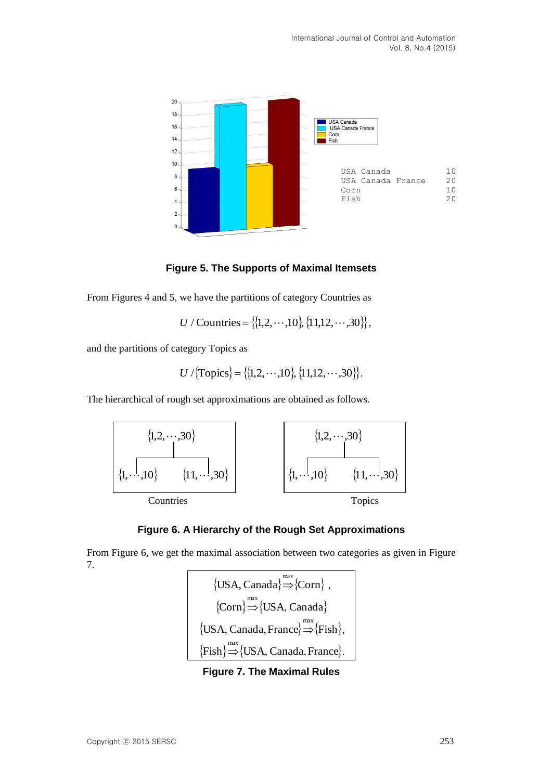

**Figure 5. The Supports of Maximal Itemsets**

From Figures 4 and 5, we have the partitions of category Countries as

$$
U / Countries = \{ \{1, 2, \cdots, 10\}, \{11, 12, \cdots, 30\} \},
$$

and the partitions of category Topics as

$$
U / \{\text{Topics}\} = \{ \{1, 2, \cdots, 10\}, \{11, 12, \cdots, 30\} \}.
$$

The hierarchical of rough set approximations are obtained as follows.





From Figure 6, we get the maximal association between two categories as given in Figure 7.

> $\{USA, Canada\} \rightarrow \{Conn\}$ ,  $\{Corn\} \Rightarrow \{USA, Canada\}$  $\{\text{USA}, \text{Canada}, \text{France}\} \Rightarrow \{\text{fish}\},\$  $\{\text{Fish}\}\nightharpoonup^{\text{max}}\{\text{USA}, \text{Canada}, \text{France}\}.$

**Figure 7. The Maximal Rules**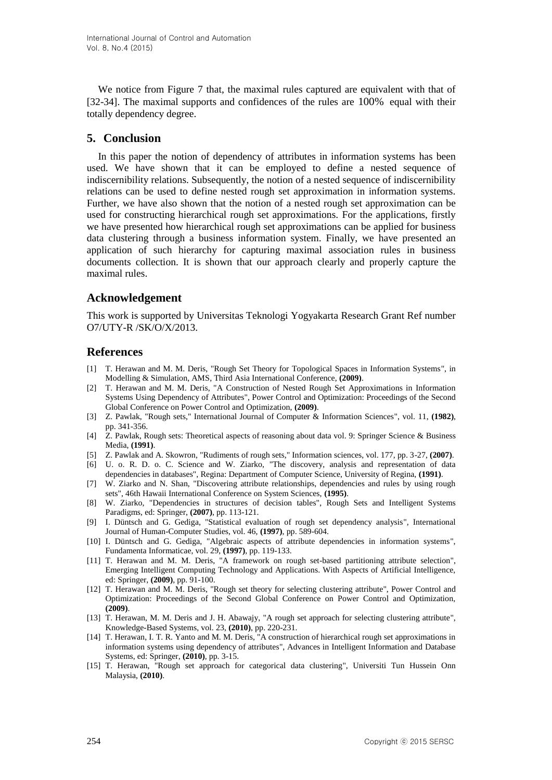We notice from Figure 7 that, the maximal rules captured are equivalent with that of [\[32-34\]](#page-14-11). The maximal supports and confidences of the rules are 100% equal with their totally dependency degree.

# **5. Conclusion**

In this paper the notion of dependency of attributes in information systems has been used. We have shown that it can be employed to define a nested sequence of indiscernibility relations. Subsequently, the notion of a nested sequence of indiscernibility relations can be used to define nested rough set approximation in information systems. Further, we have also shown that the notion of a nested rough set approximation can be used for constructing hierarchical rough set approximations. For the applications, firstly we have presented how hierarchical rough set approximations can be applied for business data clustering through a business information system. Finally, we have presented an application of such hierarchy for capturing maximal association rules in business documents collection. It is shown that our approach clearly and properly capture the maximal rules.

# **Acknowledgement**

This work is supported by Universitas Teknologi Yogyakarta Research Grant Ref number O7/UTY-R /SK/O/X/2013.

# **References**

- <span id="page-13-0"></span>[1] T. Herawan and M. M. Deris, "Rough Set Theory for Topological Spaces in Information Systems", in Modelling & Simulation, AMS, Third Asia International Conference, **(2009)**.
- <span id="page-13-1"></span>[2] T. Herawan and M. M. Deris, "A Construction of Nested Rough Set Approximations in Information Systems Using Dependency of Attributes", Power Control and Optimization: Proceedings of the Second Global Conference on Power Control and Optimization, **(2009)**.
- <span id="page-13-2"></span>[3] Z. Pawlak, "Rough sets," International Journal of Computer & Information Sciences", vol. 11, **(1982)**, pp. 341-356.
- [4] Z. Pawlak, Rough sets: Theoretical aspects of reasoning about data vol. 9: Springer Science & Business Media, **(1991)**.
- <span id="page-13-5"></span>[5] Z. Pawlak and A. Skowron, "Rudiments of rough sets," Information sciences, vol. 177, pp. 3-27, **(2007)**.
- <span id="page-13-3"></span>[6] U. o. R. D. o. C. Science and W. Ziarko, "The discovery, analysis and representation of data dependencies in databases", Regina: Department of Computer Science, University of Regina, **(1991)**.
- <span id="page-13-6"></span>[7] W. Ziarko and N. Shan, "Discovering attribute relationships, dependencies and rules by using rough sets", 46th Hawaii International Conference on System Sciences, **(1995)**.
- [8] W. Ziarko, "Dependencies in structures of decision tables", Rough Sets and Intelligent Systems Paradigms, ed: Springer, **(2007)**, pp. 113-121.
- [9] I. Düntsch and G. Gediga, "Statistical evaluation of rough set dependency analysis", International Journal of Human-Computer Studies, vol. 46, **(1997)**, pp. 589-604.
- [10] I. Düntsch and G. Gediga, "Algebraic aspects of attribute dependencies in information systems", Fundamenta Informaticae, vol. 29, **(1997)**, pp. 119-133.
- [11] T. Herawan and M. M. Deris, "A framework on rough set-based partitioning attribute selection", Emerging Intelligent Computing Technology and Applications. With Aspects of Artificial Intelligence, ed: Springer, **(2009)**, pp. 91-100.
- [12] T. Herawan and M. M. Deris, "Rough set theory for selecting clustering attribute", Power Control and Optimization: Proceedings of the Second Global Conference on Power Control and Optimization, **(2009)**.
- [13] T. Herawan, M. M. Deris and J. H. Abawajy, "A rough set approach for selecting clustering attribute", Knowledge-Based Systems, vol. 23, **(2010)**, pp. 220-231.
- <span id="page-13-4"></span>[14] T. Herawan, I. T. R. Yanto and M. M. Deris, "A construction of hierarchical rough set approximations in information systems using dependency of attributes", Advances in Intelligent Information and Database Systems, ed: Springer, **(2010)**, pp. 3-15.
- <span id="page-13-7"></span>[15] T. Herawan, "Rough set approach for categorical data clustering", Universiti Tun Hussein Onn Malaysia, **(2010)**.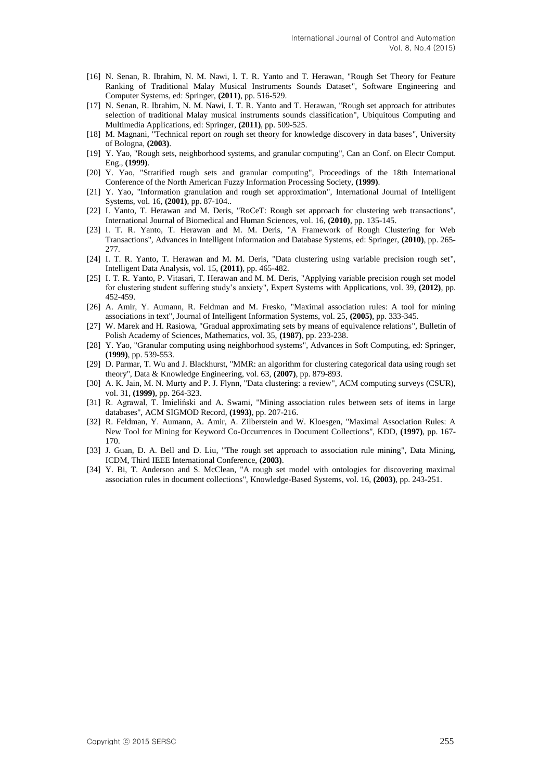- [16] N. Senan, R. Ibrahim, N. M. Nawi, I. T. R. Yanto and T. Herawan, "Rough Set Theory for Feature Ranking of Traditional Malay Musical Instruments Sounds Dataset", Software Engineering and Computer Systems, ed: Springer, **(2011)**, pp. 516-529.
- [17] N. Senan, R. Ibrahim, N. M. Nawi, I. T. R. Yanto and T. Herawan, "Rough set approach for attributes selection of traditional Malay musical instruments sounds classification", Ubiquitous Computing and Multimedia Applications, ed: Springer, **(2011)**, pp. 509-525.
- <span id="page-14-0"></span>[18] M. Magnani, "Technical report on rough set theory for knowledge discovery in data bases", University of Bologna, **(2003)**.
- <span id="page-14-1"></span>[19] Y. Yao, "Rough sets, neighborhood systems, and granular computing", Can an Conf. on Electr Comput. Eng., **(1999)**.
- <span id="page-14-7"></span>[20] Y. Yao, "Stratified rough sets and granular computing", Proceedings of the 18th International Conference of the North American Fuzzy Information Processing Society, **(1999)**.
- <span id="page-14-6"></span>[21] Y. Yao, "Information granulation and rough set approximation", International Journal of Intelligent Systems, vol. 16, **(2001)**, pp. 87-104..
- <span id="page-14-2"></span>[22] I. Yanto, T. Herawan and M. Deris, "RoCeT: Rough set approach for clustering web transactions", International Journal of Biomedical and Human Sciences, vol. 16, **(2010)**, pp. 135-145.
- [23] I. T. R. Yanto, T. Herawan and M. M. Deris, "A Framework of Rough Clustering for Web Transactions", Advances in Intelligent Information and Database Systems, ed: Springer, **(2010)**, pp. 265- 277.
- [24] I. T. R. Yanto, T. Herawan and M. M. Deris, "Data clustering using variable precision rough set", Intelligent Data Analysis, vol. 15, **(2011)**, pp. 465-482.
- [25] I. T. R. Yanto, P. Vitasari, T. Herawan and M. M. Deris, "Applying variable precision rough set model for clustering student suffering study's anxiety", Expert Systems with Applications, vol. 39, **(2012)**, pp. 452-459.
- <span id="page-14-3"></span>[26] A. Amir, Y. Aumann, R. Feldman and M. Fresko, "Maximal association rules: A tool for mining associations in text", Journal of Intelligent Information Systems, vol. 25, **(2005)**, pp. 333-345.
- <span id="page-14-4"></span>[27] W. Marek and H. Rasiowa, "Gradual approximating sets by means of equivalence relations", Bulletin of Polish Academy of Sciences, Mathematics, vol. 35, **(1987)**, pp. 233-238.
- <span id="page-14-5"></span>[28] Y. Yao, "Granular computing using neighborhood systems", Advances in Soft Computing, ed: Springer, **(1999)**, pp. 539-553.
- <span id="page-14-8"></span>[29] D. Parmar, T. Wu and J. Blackhurst, "MMR: an algorithm for clustering categorical data using rough set theory", Data & Knowledge Engineering, vol. 63, **(2007)**, pp. 879-893.
- <span id="page-14-9"></span>[30] A. K. Jain, M. N. Murty and P. J. Flynn, "Data clustering: a review", ACM computing surveys (CSUR), vol. 31, **(1999)**, pp. 264-323.
- <span id="page-14-10"></span>[31] R. Agrawal, T. Imieliński and A. Swami, "Mining association rules between sets of items in large databases", ACM SIGMOD Record, **(1993)**, pp. 207-216.
- <span id="page-14-11"></span>[32] R. Feldman, Y. Aumann, A. Amir, A. Zilberstein and W. Kloesgen, "Maximal Association Rules: A New Tool for Mining for Keyword Co-Occurrences in Document Collections", KDD, **(1997)**, pp. 167- 170.
- <span id="page-14-12"></span>[33] J. Guan, D. A. Bell and D. Liu, "The rough set approach to association rule mining", Data Mining, ICDM, Third IEEE International Conference, **(2003)**.
- <span id="page-14-13"></span>[34] Y. Bi, T. Anderson and S. McClean, "A rough set model with ontologies for discovering maximal association rules in document collections", Knowledge-Based Systems, vol. 16, **(2003)**, pp. 243-251.